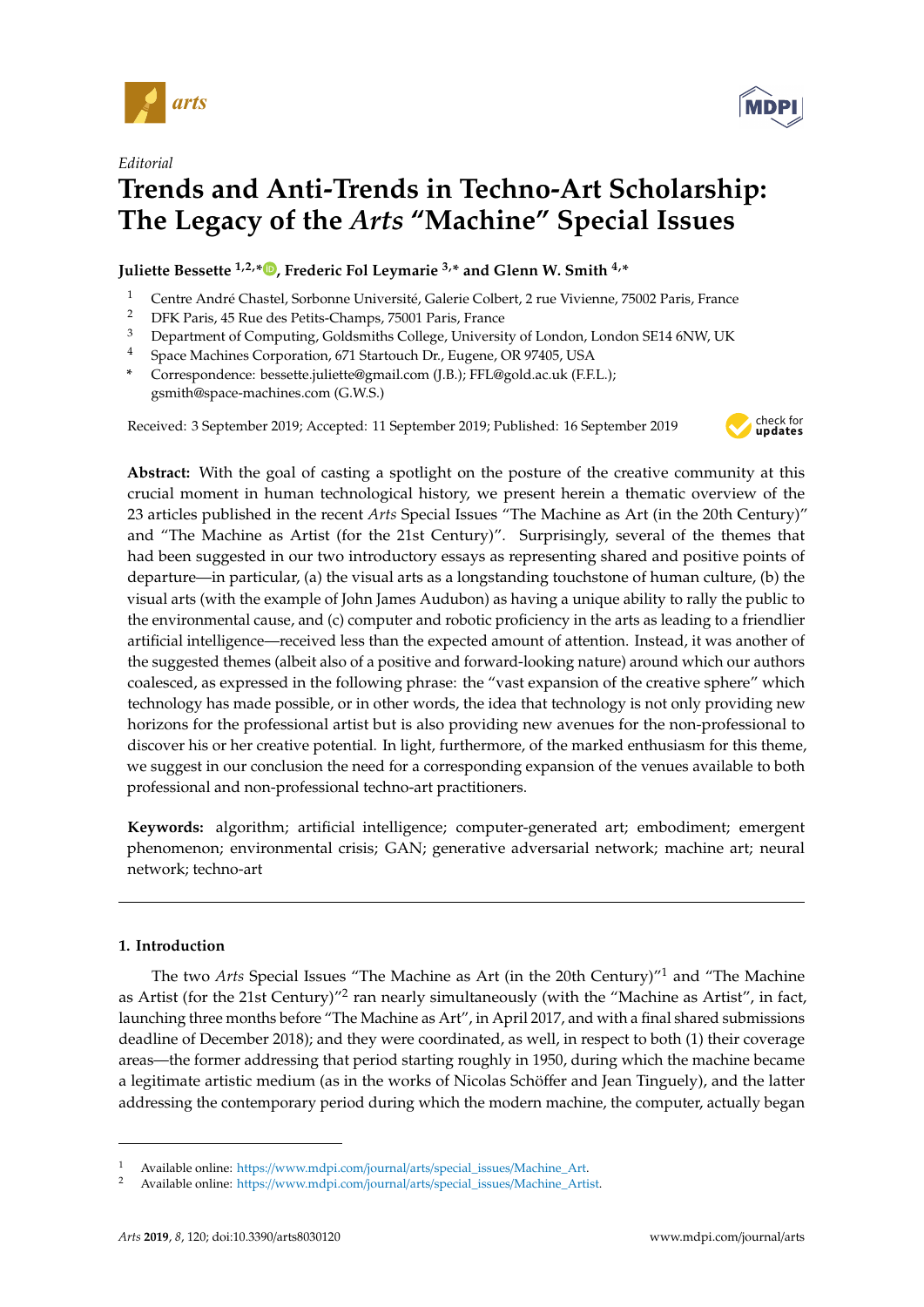

*Editorial*



**Juliette Bessette 1,2,[\\*](https://orcid.org/0000-0002-8037-7283) , Frederic Fol Leymarie 3,\* and Glenn W. Smith 4,\***

- <sup>1</sup> Centre André Chastel, Sorbonne Université, Galerie Colbert, 2 rue Vivienne, 75002 Paris, France<br><sup>2</sup> DEK Paris, 45 Pue des Potits Champe, 75001 Paris, France
- <sup>2</sup> DFK Paris, 45 Rue des Petits-Champs, 75001 Paris, France
- <sup>3</sup> Department of Computing, Goldsmiths College, University of London, London SE14 6NW, UK
- <sup>4</sup> Space Machines Corporation, 671 Startouch Dr., Eugene, OR 97405, USA
- **\*** Correspondence: bessette.juliette@gmail.com (J.B.); FFL@gold.ac.uk (F.F.L.); gsmith@space-machines.com (G.W.S.)

Received: 3 September 2019; Accepted: 11 September 2019; Published: 16 September 2019



**MDP** 

**Abstract:** With the goal of casting a spotlight on the posture of the creative community at this crucial moment in human technological history, we present herein a thematic overview of the 23 articles published in the recent *Arts* Special Issues "The Machine as Art (in the 20th Century)" and "The Machine as Artist (for the 21st Century)". Surprisingly, several of the themes that had been suggested in our two introductory essays as representing shared and positive points of departure—in particular, (a) the visual arts as a longstanding touchstone of human culture, (b) the visual arts (with the example of John James Audubon) as having a unique ability to rally the public to the environmental cause, and (c) computer and robotic proficiency in the arts as leading to a friendlier artificial intelligence—received less than the expected amount of attention. Instead, it was another of the suggested themes (albeit also of a positive and forward-looking nature) around which our authors coalesced, as expressed in the following phrase: the "vast expansion of the creative sphere" which technology has made possible, or in other words, the idea that technology is not only providing new horizons for the professional artist but is also providing new avenues for the non-professional to discover his or her creative potential. In light, furthermore, of the marked enthusiasm for this theme, we suggest in our conclusion the need for a corresponding expansion of the venues available to both professional and non-professional techno-art practitioners.

**Keywords:** algorithm; artificial intelligence; computer-generated art; embodiment; emergent phenomenon; environmental crisis; GAN; generative adversarial network; machine art; neural network; techno-art

# **1. Introduction**

The two *Arts* Special Issues "The Machine as Art (in the 20th Century)"<sup>1</sup> and "The Machine as Artist (for the 21st Century)"<sup>2</sup> ran nearly simultaneously (with the "Machine as Artist", in fact, launching three months before "The Machine as Art", in April 2017, and with a final shared submissions deadline of December 2018); and they were coordinated, as well, in respect to both (1) their coverage areas—the former addressing that period starting roughly in 1950, during which the machine became a legitimate artistic medium (as in the works of Nicolas Schöffer and Jean Tinguely), and the latter addressing the contemporary period during which the modern machine, the computer, actually began

<sup>1</sup> Available online: https://[www.mdpi.com](https://www.mdpi.com/journal/arts/special_issues/Machine_Art)/journal/arts/special\_issues/Machine\_Art.

<sup>2</sup> Available online: https://[www.mdpi.com](https://www.mdpi.com/journal/arts/special_issues/Machine_Artist)/journal/arts/special\_issues/Machine\_Artist.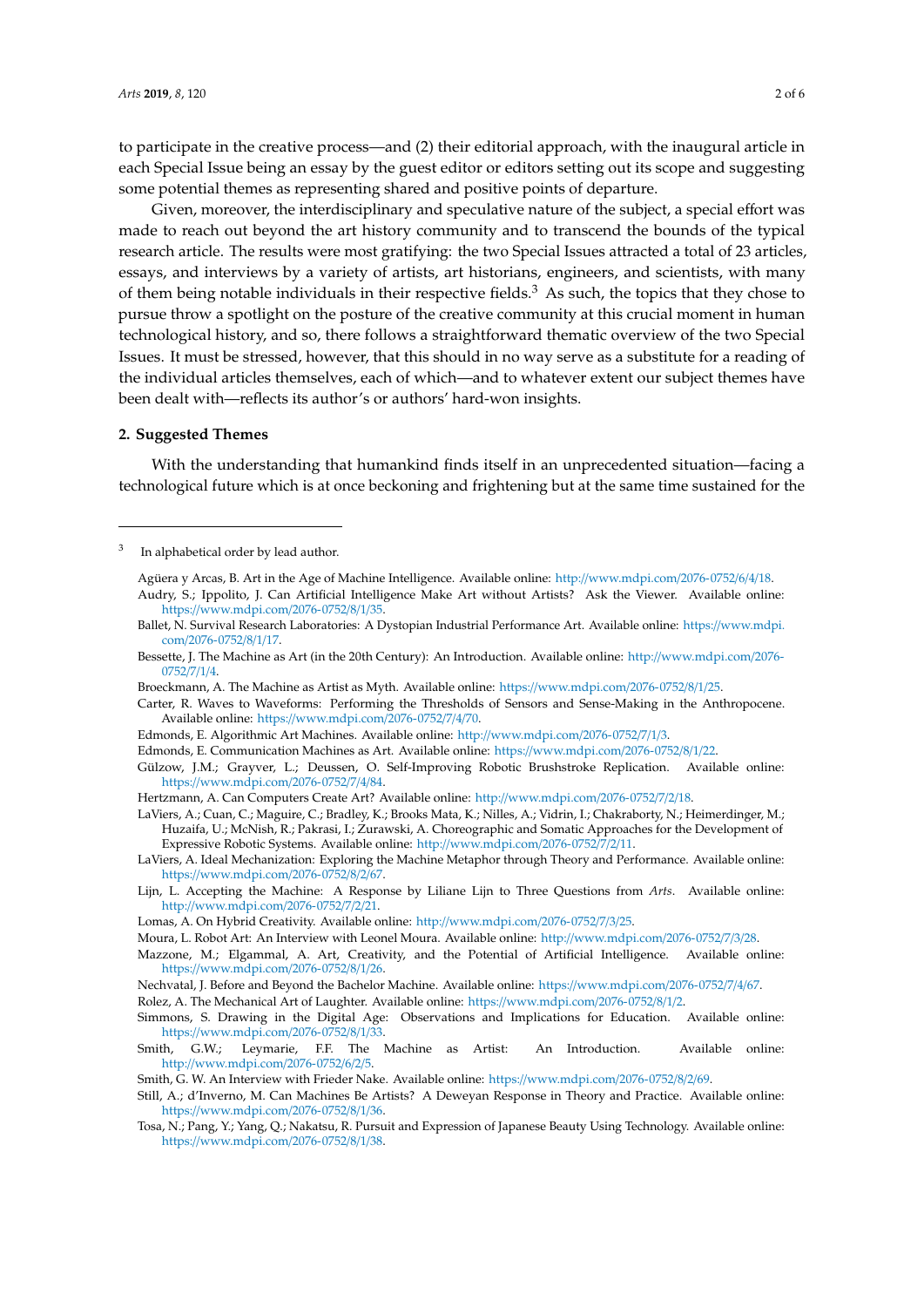to participate in the creative process—and (2) their editorial approach, with the inaugural article in each Special Issue being an essay by the guest editor or editors setting out its scope and suggesting some potential themes as representing shared and positive points of departure.

Given, moreover, the interdisciplinary and speculative nature of the subject, a special effort was made to reach out beyond the art history community and to transcend the bounds of the typical research article. The results were most gratifying: the two Special Issues attracted a total of 23 articles, essays, and interviews by a variety of artists, art historians, engineers, and scientists, with many of them being notable individuals in their respective fields. $3$  As such, the topics that they chose to pursue throw a spotlight on the posture of the creative community at this crucial moment in human technological history, and so, there follows a straightforward thematic overview of the two Special Issues. It must be stressed, however, that this should in no way serve as a substitute for a reading of the individual articles themselves, each of which—and to whatever extent our subject themes have been dealt with—reflects its author's or authors' hard-won insights.

#### **2. Suggested Themes**

With the understanding that humankind finds itself in an unprecedented situation—facing a technological future which is at once beckoning and frightening but at the same time sustained for the

Agüera y Arcas, B. Art in the Age of Machine Intelligence. Available online: http://[www.mdpi.com](http://www.mdpi.com/2076-0752/6/4/18)/2076-0752/6/4/18. Audry, S.; Ippolito, J. Can Artificial Intelligence Make Art without Artists? Ask the Viewer. Available online: https://[www.mdpi.com](https://www.mdpi.com/2076-0752/8/1/35)/2076-0752/8/1/35.

Broeckmann, A. The Machine as Artist as Myth. Available online: https://[www.mdpi.com](https://www.mdpi.com/2076-0752/8/1/25)/2076-0752/8/1/25.

Gülzow, J.M.; Grayver, L.; Deussen, O. Self-Improving Robotic Brushstroke Replication. Available online: https://[www.mdpi.com](https://www.mdpi.com/2076-0752/7/4/84)/2076-0752/7/4/84.

LaViers, A.; Cuan, C.; Maguire, C.; Bradley, K.; Brooks Mata, K.; Nilles, A.; Vidrin, I.; Chakraborty, N.; Heimerdinger, M.; Huzaifa, U.; McNish, R.; Pakrasi, I.; Zurawski, A. Choreographic and Somatic Approaches for the Development of Expressive Robotic Systems. Available online: http://[www.mdpi.com](http://www.mdpi.com/2076-0752/7/2/11)/2076-0752/7/2/11.

Lijn, L. Accepting the Machine: A Response by Liliane Lijn to Three Questions from *Arts*. Available online: http://[www.mdpi.com](http://www.mdpi.com/2076-0752/7/2/21)/2076-0752/7/2/21.

Mazzone, M.; Elgammal, A. Art, Creativity, and the Potential of Artificial Intelligence. Available online: https://[www.mdpi.com](https://www.mdpi.com/2076-0752/8/1/26)/2076-0752/8/1/26.

Rolez, A. The Mechanical Art of Laughter. Available online: https://[www.mdpi.com](https://www.mdpi.com/2076-0752/8/1/2)/2076-0752/8/1/2.

<sup>3</sup> In alphabetical order by lead author.

Ballet, N. Survival Research Laboratories: A Dystopian Industrial Performance Art. Available online: https://[www.mdpi.](https://www.mdpi.com/2076-0752/8/1/17) com/[2076-0752](https://www.mdpi.com/2076-0752/8/1/17)/8/1/17.

Bessette, J. The Machine as Art (in the 20th Century): An Introduction. Available online: http://[www.mdpi.com](http://www.mdpi.com/2076-0752/7/1/4)/2076- [0752](http://www.mdpi.com/2076-0752/7/1/4)/7/1/4.

Carter, R. Waves to Waveforms: Performing the Thresholds of Sensors and Sense-Making in the Anthropocene. Available online: https://[www.mdpi.com](https://www.mdpi.com/2076-0752/7/4/70)/2076-0752/7/4/70.

Edmonds, E. Algorithmic Art Machines. Available online: http://[www.mdpi.com](http://www.mdpi.com/2076-0752/7/1/3)/2076-0752/7/1/3.

Edmonds, E. Communication Machines as Art. Available online: https://[www.mdpi.com](https://www.mdpi.com/2076-0752/8/1/22)/2076-0752/8/1/22.

Hertzmann, A. Can Computers Create Art? Available online: http://[www.mdpi.com](http://www.mdpi.com/2076-0752/7/2/18)/2076-0752/7/2/18.

LaViers, A. Ideal Mechanization: Exploring the Machine Metaphor through Theory and Performance. Available online: https://[www.mdpi.com](https://www.mdpi.com/2076-0752/8/2/67)/2076-0752/8/2/67.

Lomas, A. On Hybrid Creativity. Available online: http://[www.mdpi.com](http://www.mdpi.com/2076-0752/7/3/25)/2076-0752/7/3/25.

Moura, L. Robot Art: An Interview with Leonel Moura. Available online: http://[www.mdpi.com](http://www.mdpi.com/2076-0752/7/3/28)/2076-0752/7/3/28.

Nechvatal, J. Before and Beyond the Bachelor Machine. Available online: https://[www.mdpi.com](https://www.mdpi.com/2076-0752/7/4/67)/2076-0752/7/4/67.

Simmons, S. Drawing in the Digital Age: Observations and Implications for Education. Available online: https://[www.mdpi.com](https://www.mdpi.com/2076-0752/8/1/33)/2076-0752/8/1/33.

Smith, G.W.; Leymarie, F.F. The Machine as Artist: An Introduction. Available online: http://[www.mdpi.com](http://www.mdpi.com/2076-0752/6/2/5)/2076-0752/6/2/5.

Smith, G. W. An Interview with Frieder Nake. Available online: https://[www.mdpi.com](https://www.mdpi.com/2076-0752/8/2/69)/2076-0752/8/2/69.

Still, A.; d'Inverno, M. Can Machines Be Artists? A Deweyan Response in Theory and Practice. Available online: https://[www.mdpi.com](https://www.mdpi.com/2076-0752/8/1/36)/2076-0752/8/1/36.

Tosa, N.; Pang, Y.; Yang, Q.; Nakatsu, R. Pursuit and Expression of Japanese Beauty Using Technology. Available online: https://[www.mdpi.com](https://www.mdpi.com/2076-0752/8/1/38)/2076-0752/8/1/38.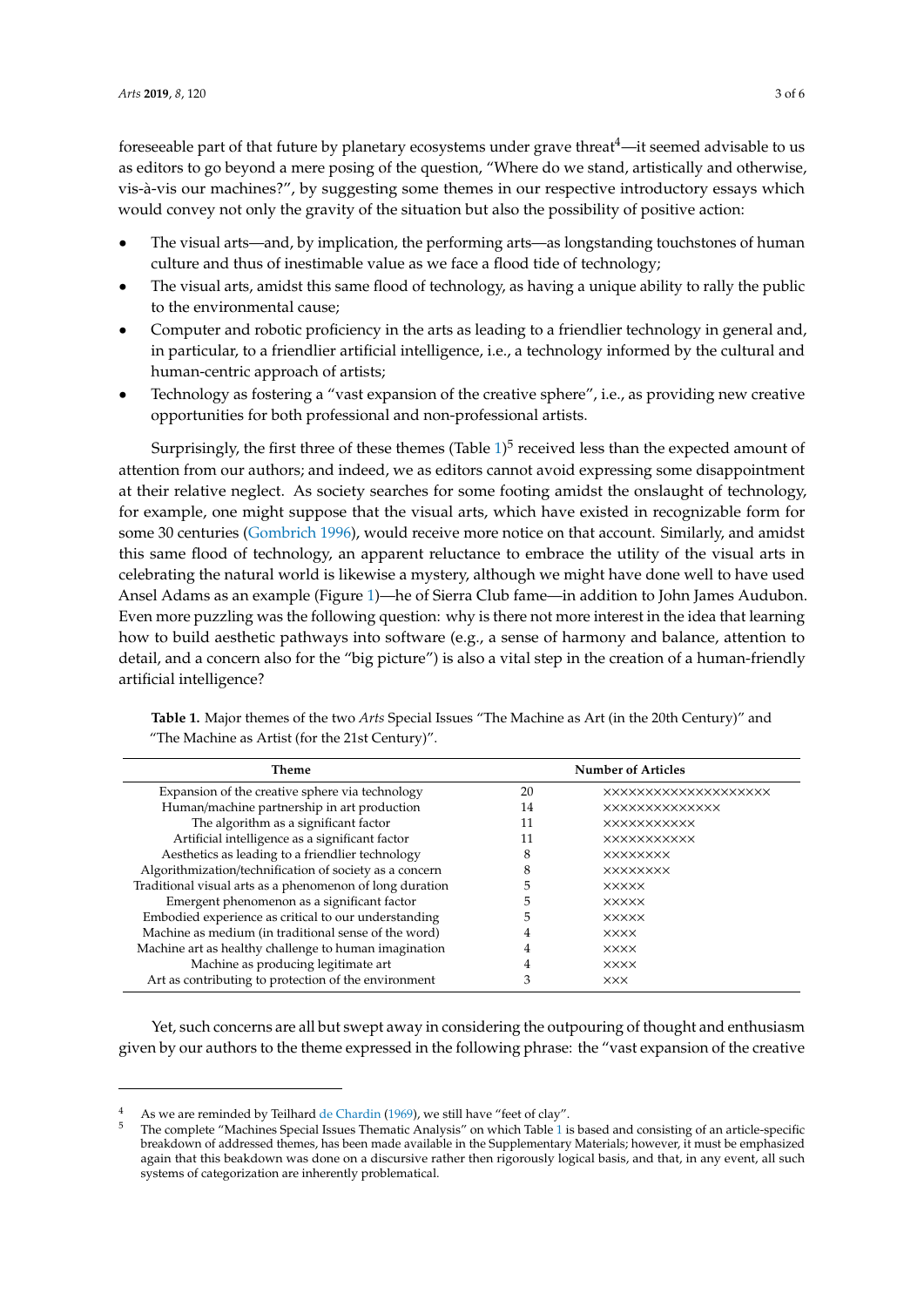fore seeable part of that future by planetary ecosystems under grave threat  $4$ —it seemed advisable to us as editors to go beyond a mere posing of the question, "Where do we stand, artistically and otherwise, vis-à-vis our machines?", by suggesting some themes in our respective introductory essays which would convey not only the gravity of the situation but also the possibility of positive action:

- The visual arts—and, by implication, the performing arts—as longstanding touchstones of human culture and thus of inestimable value as we face a flood tide of technology;
- The visual arts, amidst this same flood of technology, as having a unique ability to rally the public to the environmental cause;
- Computer and robotic proficiency in the arts as leading to a friendlier technology in general and, in particular, to a friendlier artificial intelligence, i.e., a technology informed by the cultural and human-centric approach of artists;
- Technology as fostering a "vast expansion of the creative sphere", i.e., as providing new creative opportunities for both professional and non-professional artists.

Surprisingly, the first three of these themes (Table  $1)^5$  $1)^5$  received less than the expected amount of attention from our authors; and indeed, we as editors cannot avoid expressing some disappointment at their relative neglect. As society searches for some footing amidst the onslaught of technology, for example, one might suppose that the visual arts, which have existed in recognizable form for some 30 centuries [\(Gombrich](#page-5-0) [1996\)](#page-5-0), would receive more notice on that account. Similarly, and amidst this same flood of technology, an apparent reluctance to embrace the utility of the visual arts in celebrating the natural world is likewise a mystery, although we might have done well to have used Ansel Adams as an example (Figure [1\)](#page-3-0)—he of Sierra Club fame—in addition to John James Audubon. Even more puzzling was the following question: why is there not more interest in the idea that learning how to build aesthetic pathways into software (e.g., a sense of harmony and balance, attention to detail, and a concern also for the "big picture") is also a vital step in the creation of a human-friendly artificial intelligence?

| The Machine as Artist (for the 21st Century).    |                           |                             |
|--------------------------------------------------|---------------------------|-----------------------------|
| <b>Theme</b>                                     | <b>Number of Articles</b> |                             |
| Expansion of the creative sphere via technology  | 20                        | <b>XXXXXXXXXXXXXXXXXXXX</b> |
| Human/machine partnership in art production      | 14                        | <b>XXXXXXXXXXXXXX</b>       |
| The algorithm as a significant factor            | 11                        | <b>XXXXXXXXXXX</b>          |
| Artificial intelligence as a significant factor  | 11                        | <b>XXXXXXXXXXX</b>          |
| Aesthetics as leading to a friendlier technology |                           | <b>XXXXXXXX</b>             |

Algorithmization/technification of society as a concern 8  $\times$  xxxxxxxx Traditional visual arts as a phenomenon of long duration 5 ××××× Emergent phenomenon as a significant factor 5 ××××× Embodied experience as critical to our understanding 5 ××××× Machine as medium (in traditional sense of the word)  $4 \times x \times x$ Machine art as healthy challenge to human imagination 4 ××××

Machine as producing legitimate art  $\begin{array}{ccc} 4 & 3 & \times \times \times \times \\ 2 & 3 & \times \times \times \end{array}$ Art as contributing to protection of the environment 3  $\times$   $\times$   $\times$ 

<span id="page-2-0"></span>**Table 1.** Major themes of the two *Arts* Special Issues "The Machine as Art (in the 20th Century)" and  $^{\prime\prime}$ The Machine as Artist (for the 21st Century)".

Yet, such concerns are all but swept away in considering the outpouring of thought and enthusiasm given by our authors to the theme expressed in the following phrase: the "vast expansion of the creative

As we are reminded by Teilhard [de Chardin](#page-5-1) [\(1969\)](#page-5-1), we still have "feet of clay".

<sup>5</sup> The complete "Machines Special Issues Thematic Analysis" on which Table [1](#page-2-0) is based and consisting of an article-specific breakdown of addressed themes, has been made available in the Supplementary Materials; however, it must be emphasized again that this beakdown was done on a discursive rather then rigorously logical basis, and that, in any event, all such systems of categorization are inherently problematical.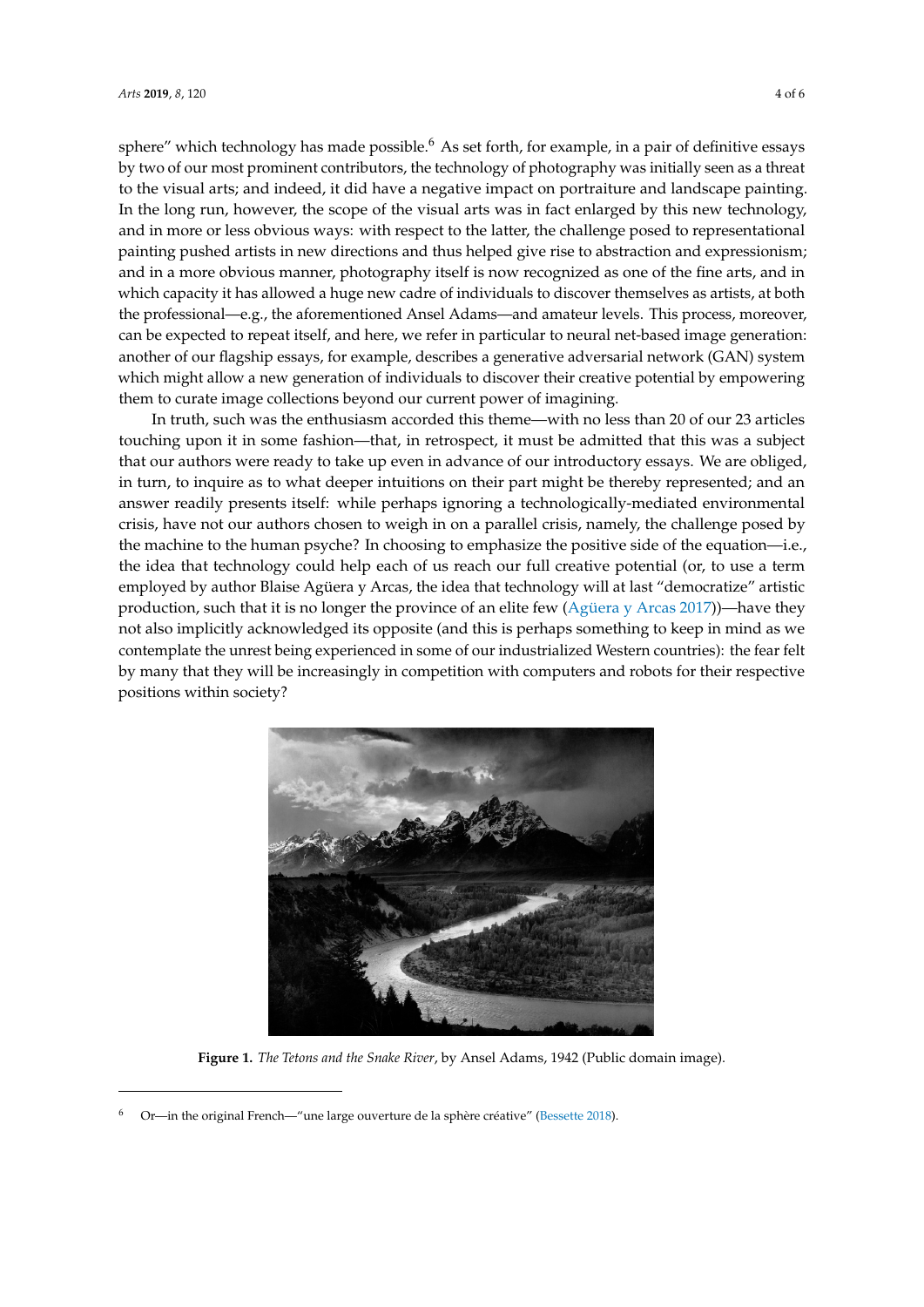sphere" which technology has made possible.<sup>6</sup> As set forth, for example, in a pair of definitive essays by two of our most prominent contributors, the technology of photography was initially seen as a threat to the visual article in portraiture in portraiture in portraiture in portraiture in portraiture in portraiture in por to the visual arts; and indeed, it did have a negative impact on portraiture and landscape painting.<br>In the long run, however, the scope of the scope of the visual article by the scope of the visual article by t In the long run, however, the scope of the visual arts was in fact enlarged by this new technology, and in more or less obvious ways: with respect to the latter, the challenge posed to representational pushed artists in new directions and thus helped give rise to absorption of the latter of the directions and thus helped painting pushed artists in new directions and thus helped give rise to abstraction and expressionism;<br>in a more of the contract in a more of the contract is now recognized as one of the contract in a more of the and in a more obvious manner, photography itself is now recognized as one of the fine arts, and in which capacity it has allowed a huge new capacity it has allowed a huge new capacity individuals to discover and the method which capacity it has allowed a huge new cadre of individuals to discover themselves as artists, at both<br>the professional and and annual amateur of the professional and amateur and amateur of the professional and am the professional—e.g., the aforementioned Ansel Adams—and amateur levels. This process, moreover, can be expected to repeat its line of the particular to refer in particular to repeat its line of the particular to refer in can be expected to repeat itself, and here, we refer in particular to neural net-based image generation:<br>describes and the state of our flagship estate and the state of our flagship estate and describe and describe another of our flagship essays, for example, describes a generative adversarial network (GAN) system which might allow a new generation of individuals to individuals to individuals to individuals to individuals to individu which might allow a new generation of individuals to discover their creative potential by empowering version our current our current our current our current our current our current our current our current our current our c them to curate image collections beyond our current power of imagining. power of imagining. definitive which icentified by this made possible. This set forth, to example, in a pair of definitive essays

In truth, such was the enthusiasm accorded this theme—with no less than 20 of our 23 articles In truth, such was the enthusiasm accorded this theme—with no less than 20 of our 23 articles touching upon it in some fashion—that, in retrospect, it must be admitted that this was a subject to the state of that that this was a subject that our authors were ready to take up even in advance of our introductory essays. We are obliged, in turn, to inquire as to what deeper intuitions on their part might be thereby represented; and an turn, to inquire as to what deeper intuitions on their part might be thereby represented; and an answer readily presents itself: while perhaps ignoring a technologically-mediated environmental answer readily presents itself: while perhaps ignoring a technologically-mediated environmental crisis, have not our authors chosen to weigh in on a parallel crisis, namely, the challenge posed by crisis, have not our authors chosen to weigh in on a parallel crisis, namely, the challenge posed by the machine to the human psyche? In choosing to emphasize the positive side of the equation—i.e., the machine to the human psyche? In choosing to emphasize the positive side of the equation—i.e., the idea that technology could help each of us reach our full creative potential (or, to use a term the idea that technology could help each of us reach our full creative potential (or, to use a term employed by author Blaise Agüera y Arcas, the idea that technology will at last "democratize" artistic employed by author Blaise Agüera y Arcas, the idea that technology will at last "democratize" artistic production, such that it is no longer the province of an elite few [\(Agüera y Arcas](#page-5-2) [2017\)](#page-5-2))—have they production, such that it is no longer the province of an elite few (Agüera y Arcas 2017))—have they not also implicitly acknowledged its opposite (and this is perhaps something to keep in mind as we contemplate the unrest being experienced in some of our industrialized Western countries): the fear felt variation of the fear felt by many that they will be increasingly in competition with computers and robots for their respective by many that they will be increasingly in competition with computers and robots for their respective positions within society?

<span id="page-3-0"></span>

**Figure 1.** *The Tetons and the Snake River*, by Ansel Adams, 1942 (Public domain image). **Figure 1.** *The Tetons and the Snake River*, by Ansel Adams, 1942 (Public domain image).

<sup>6</sup> Or—in the original French—"une large ouverture de la sphère créative" [\(Bessette](#page-5-3) [2018\)](#page-5-3).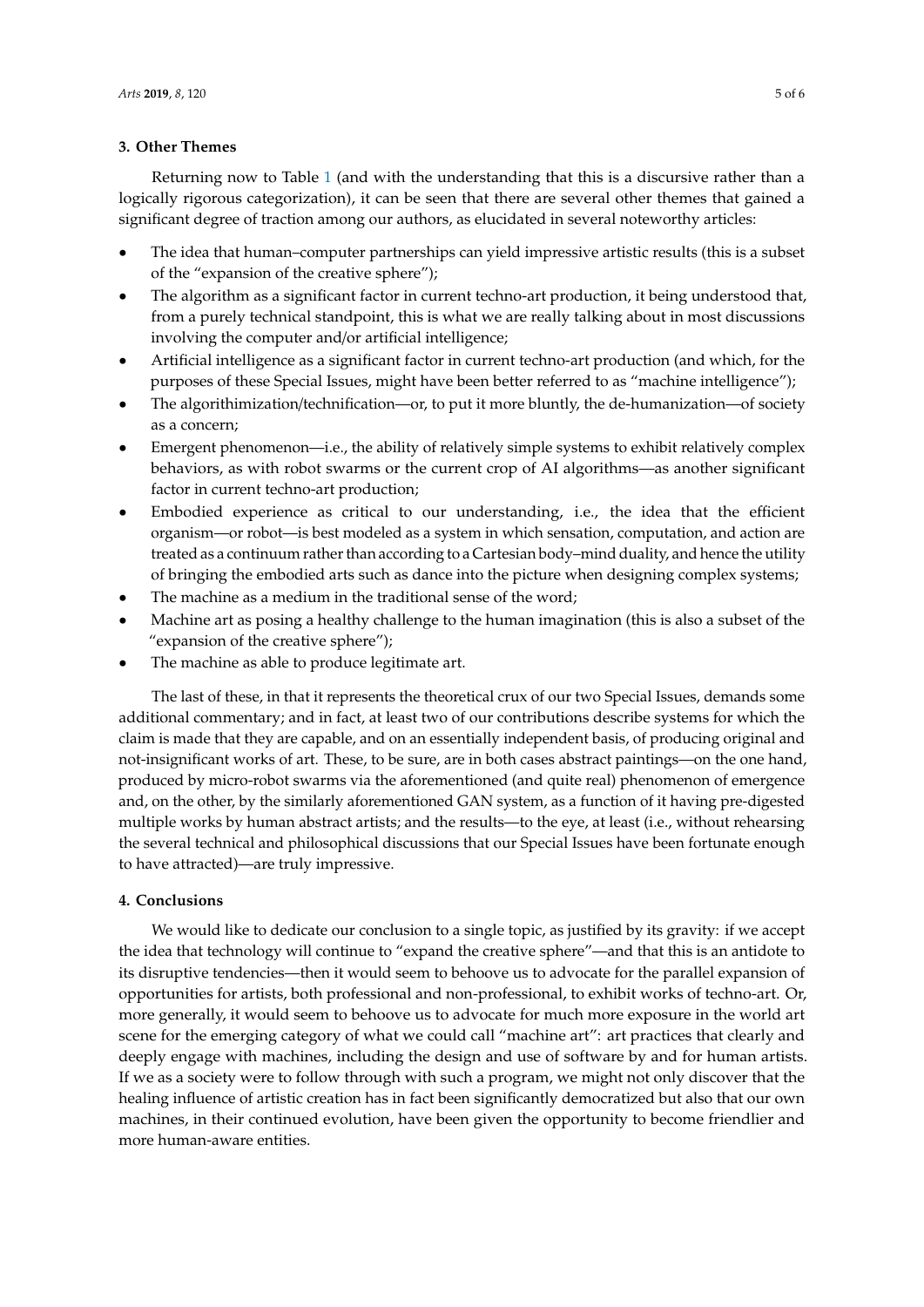### **3. Other Themes**

Returning now to Table [1](#page-2-0) (and with the understanding that this is a discursive rather than a logically rigorous categorization), it can be seen that there are several other themes that gained a significant degree of traction among our authors, as elucidated in several noteworthy articles:

- The idea that human–computer partnerships can yield impressive artistic results (this is a subset of the "expansion of the creative sphere");
- The algorithm as a significant factor in current techno-art production, it being understood that, from a purely technical standpoint, this is what we are really talking about in most discussions involving the computer and/or artificial intelligence;
- Artificial intelligence as a significant factor in current techno-art production (and which, for the purposes of these Special Issues, might have been better referred to as "machine intelligence");
- The algorithimization/technification—or, to put it more bluntly, the de-humanization—of society as a concern;
- Emergent phenomenon—i.e., the ability of relatively simple systems to exhibit relatively complex behaviors, as with robot swarms or the current crop of AI algorithms—as another significant factor in current techno-art production;
- Embodied experience as critical to our understanding, i.e., the idea that the efficient organism—or robot—is best modeled as a system in which sensation, computation, and action are treated as a continuum rather than according to a Cartesian body–mind duality, and hence the utility of bringing the embodied arts such as dance into the picture when designing complex systems;
- The machine as a medium in the traditional sense of the word;
- Machine art as posing a healthy challenge to the human imagination (this is also a subset of the "expansion of the creative sphere");
- The machine as able to produce legitimate art.

The last of these, in that it represents the theoretical crux of our two Special Issues, demands some additional commentary; and in fact, at least two of our contributions describe systems for which the claim is made that they are capable, and on an essentially independent basis, of producing original and not-insignificant works of art. These, to be sure, are in both cases abstract paintings—on the one hand, produced by micro-robot swarms via the aforementioned (and quite real) phenomenon of emergence and, on the other, by the similarly aforementioned GAN system, as a function of it having pre-digested multiple works by human abstract artists; and the results—to the eye, at least (i.e., without rehearsing the several technical and philosophical discussions that our Special Issues have been fortunate enough to have attracted)—are truly impressive.

## **4. Conclusions**

We would like to dedicate our conclusion to a single topic, as justified by its gravity: if we accept the idea that technology will continue to "expand the creative sphere"—and that this is an antidote to its disruptive tendencies—then it would seem to behoove us to advocate for the parallel expansion of opportunities for artists, both professional and non-professional, to exhibit works of techno-art. Or, more generally, it would seem to behoove us to advocate for much more exposure in the world art scene for the emerging category of what we could call "machine art": art practices that clearly and deeply engage with machines, including the design and use of software by and for human artists. If we as a society were to follow through with such a program, we might not only discover that the healing influence of artistic creation has in fact been significantly democratized but also that our own machines, in their continued evolution, have been given the opportunity to become friendlier and more human-aware entities.